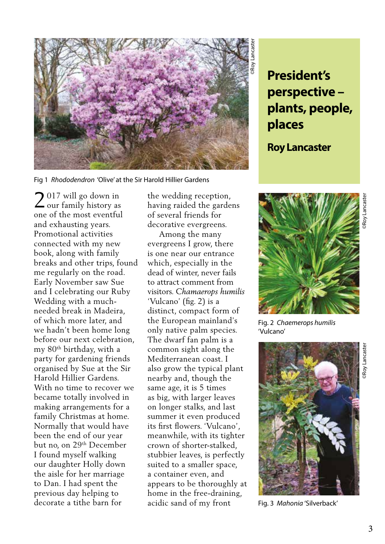

Fig 1 *Rhododendron* 'Olive' at the Sir Harold Hillier Gardens

 $\bigcap$  017 will go down in  $2<sup>017</sup>$  will go down in<br>our family history as one of the most eventful and exhausting years. Promotional activities connected with my new book, along with family breaks and other trips, found me regularly on the road. Early November saw Sue and I celebrating our Ruby Wedding with a muchneeded break in Madeira, of which more later, and we hadn't been home long before our next celebration, my 80th birthday, with a party for gardening friends organised by Sue at the Sir Harold Hillier Gardens. With no time to recover we became totally involved in making arrangements for a family Christmas at home. Normally that would have been the end of our year but no, on 29th December I found myself walking our daughter Holly down the aisle for her marriage to Dan. I had spent the previous day helping to decorate a tithe barn for

the wedding reception, having raided the gardens of several friends for decorative evergreens.

 Among the many evergreens I grow, there is one near our entrance which, especially in the dead of winter, never fails to attract comment from visitors. *Chamaerops humilis* 'Vulcano' (fig. 2) is a distinct, compact form of the European mainland's only native palm species. The dwarf fan palm is a common sight along the Mediterranean coast. I also grow the typical plant nearby and, though the same age, it is 5 times as big, with larger leaves on longer stalks, and last summer it even produced its first flowers. 'Vulcano', meanwhile, with its tighter crown of shorter-stalked, stubbier leaves, is perfectly suited to a smaller space, a container even, and appears to be thoroughly at home in the free-draining, acidic sand of my front

## **perspective – plants, people, places**

## **Roy Lancaster**



'Vulcano'



Fig. 3 *Mahonia* 'Silverback'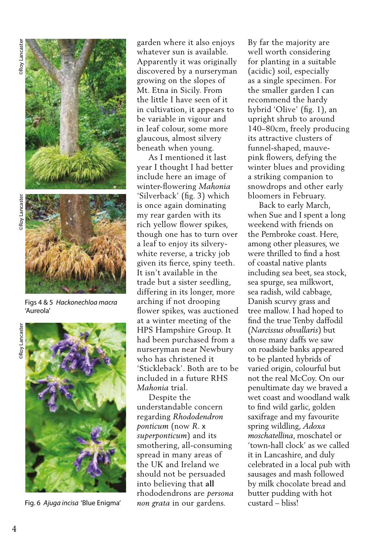

Figs 4 & 5 *Hackonechloa macra*  'Aureola'



Fig. 6 *Ajuga incisa* 'Blue Enigma'

garden where it also enjoys whatever sun is available. Apparently it was originally discovered by a nurseryman growing on the slopes of Mt. Etna in Sicily. From the little I have seen of it in cultivation, it appears to be variable in vigour and in leaf colour, some more glaucous, almost silvery beneath when young.

 As I mentioned it last year I thought I had better include here an image of winter-flowering *Mahonia*  'Silverback' (fig. 3) which is once again dominating my rear garden with its rich yellow flower spikes, though one has to turn over a leaf to enjoy its silverywhite reverse, a tricky job given its fierce, spiny teeth. It isn't available in the trade but a sister seedling, differing in its longer, more arching if not drooping flower spikes, was auctioned at a winter meeting of the HPS Hampshire Group. It had been purchased from a nurseryman near Newbury who has christened it 'Stickleback'. Both are to be included in a future RHS *Mahonia* trial.

 Despite the understandable concern regarding *Rhododendron ponticum* (now *R*. x *superponticum*) and its smothering, all-consuming spread in many areas of the UK and Ireland we should not be persuaded into believing that **all**  rhododendrons are *persona non grata* in our gardens.

By far the majority are well worth considering for planting in a suitable (acidic) soil, especially as a single specimen. For the smaller garden I can recommend the hardy hybrid 'Olive' (fig. 1), an upright shrub to around 140–80cm, freely producing its attractive clusters of funnel-shaped, mauvepink flowers, defying the winter blues and providing a striking companion to snowdrops and other early bloomers in February.

 Back to early March, when Sue and I spent a long weekend with friends on the Pembroke coast. Here, among other pleasures, we were thrilled to find a host of coastal native plants including sea beet, sea stock, sea spurge, sea milkwort, sea radish, wild cabbage, Danish scurvy grass and tree mallow. I had hoped to find the true Tenby daffodil (*Narcissus obvallaris*) but those many daffs we saw on roadside banks appeared to be planted hybrids of varied origin, colourful but not the real McCoy. On our penultimate day we braved a wet coast and woodland walk to find wild garlic, golden saxifrage and my favourite spring wildling, *Adoxa moschatellina*, moschatel or 'town-hall clock' as we called it in Lancashire, and duly celebrated in a local pub with sausages and mash followed by milk chocolate bread and butter pudding with hot custard – bliss!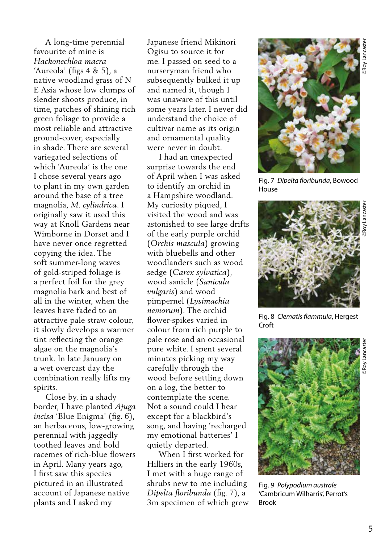Japanese friend Mikinori Ogisu to source it for me. I passed on seed to a nurseryman friend who subsequently bulked it up and named it, though I was unaware of this until some years later. I never did understand the choice of cultivar name as its origin and ornamental quality were never in doubt. I had an unexpected surprise towards the end

of April when I was asked to identify an orchid in a Hampshire woodland. My curiosity piqued, I visited the wood and was astonished to see large drifts of the early purple orchid (*Orchis mascula*) growing with bluebells and other woodlanders such as wood sedge (*Carex sylvatica*), wood sanicle (*Sanicula vulgaris*) and wood pimpernel (*Lysimachia nemorum*). The orchid flower-spikes varied in colour from rich purple to pale rose and an occasional pure white. I spent several minutes picking my way carefully through the wood before settling down on a log, the better to contemplate the scene. Not a sound could I hear except for a blackbird's song, and having 'recharged my emotional batteries' I quietly departed.

 When I first worked for Hilliers in the early 1960s, I met with a huge range of shrubs new to me including *Dipelta floribunda* (fig. 7), a 3m specimen of which grew



Fig. 7 *Dipelta floribunda*, Bowood House



Fig. 8 *Clematis flammula*, Hergest Croft



Fig. 9 *Polypodium australe*  'Cambricum Wilharris', Perrot's Brook

time, patches of shining rich green foliage to provide a most reliable and attractive ground-cover, especially in shade. There are several variegated selections of which 'Aureola' is the one I chose several years ago to plant in my own garden around the base of a tree magnolia, *M. cylindrica*. I originally saw it used this way at Knoll Gardens near Wimborne in Dorset and I have never once regretted copying the idea. The soft summer-long waves of gold-striped foliage is a perfect foil for the grey magnolia bark and best of all in the winter, when the leaves have faded to an attractive pale straw colour, it slowly develops a warmer tint reflecting the orange algae on the magnolia's trunk. In late January on a wet overcast day the combination really lifts my spirits.

A long-time perennial

favourite of mine is *Hackonechloa macra*  'Aureola' (figs 4 & 5), a native woodland grass of N E Asia whose low clumps of slender shoots produce, in

 Close by, in a shady border, I have planted *Ajuga incisa* 'Blue Enigma' (fig. 6), an herbaceous, low-growing perennial with jaggedly toothed leaves and bold racemes of rich-blue flowers in April. Many years ago, I first saw this species pictured in an illustrated account of Japanese native plants and I asked my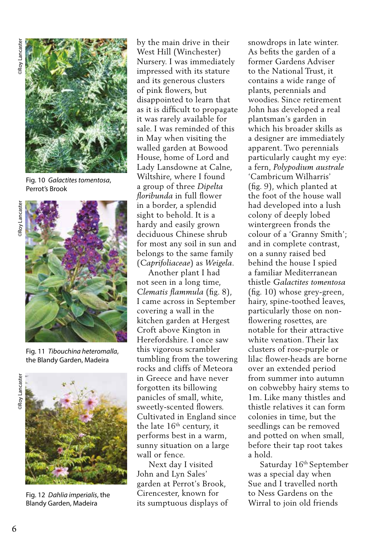

Fig. 10 *Galactites tomentosa*, Perrot's Brook



Fig. 11 *Tibouchina heteromalla*, the Blandy Garden, Madeira





Fig. 12 *Dahlia imperialis*, the Blandy Garden, Madeira

by the main drive in their West Hill (Winchester) Nursery. I was immediately impressed with its stature and its generous clusters of pink flowers, but disappointed to learn that as it is difficult to propagate it was rarely available for sale. I was reminded of this in May when visiting the walled garden at Bowood House, home of Lord and Lady Lansdowne at Calne, Wiltshire, where I found a group of three *Dipelta floribunda* in full flower in a border, a splendid sight to behold. It is a hardy and easily grown deciduous Chinese shrub for most any soil in sun and belongs to the same family (*Caprifoliaceae*) as *Weigela*.

 Another plant I had not seen in a long time, *Clematis flammula* (fig. 8), I came across in September covering a wall in the kitchen garden at Hergest Croft above Kington in Herefordshire. I once saw this vigorous scrambler tumbling from the towering rocks and cliffs of Meteora in Greece and have never forgotten its billowing panicles of small, white, sweetly-scented flowers. Cultivated in England since the late  $16<sup>th</sup>$  century, it performs best in a warm, sunny situation on a large wall or fence.

 Next day I visited John and Lyn Sales' garden at Perrot's Brook, Cirencester, known for its sumptuous displays of snowdrops in late winter. As befits the garden of a former Gardens Adviser to the National Trust, it contains a wide range of plants, perennials and woodies. Since retirement John has developed a real plantsman's garden in which his broader skills as a designer are immediately apparent. Two perennials particularly caught my eye: a fern, *Polypodium australe* 'Cambricum Wilharris' (fig. 9), which planted at the foot of the house wall had developed into a lush colony of deeply lobed wintergreen fronds the colour of a 'Granny Smith'; and in complete contrast, on a sunny raised bed behind the house I spied a familiar Mediterranean thistle *Galactites tomentosa* (fig. 10) whose grey-green, hairy, spine-toothed leaves, particularly those on nonflowering rosettes, are notable for their attractive white venation. Their lax clusters of rose-purple or lilac flower-heads are borne over an extended period from summer into autumn on cobwebby hairy stems to 1m. Like many thistles and thistle relatives it can form colonies in time, but the seedlings can be removed and potted on when small, before their tap root takes a hold.

Saturday 16<sup>th</sup> September was a special day when Sue and I travelled north to Ness Gardens on the Wirral to join old friends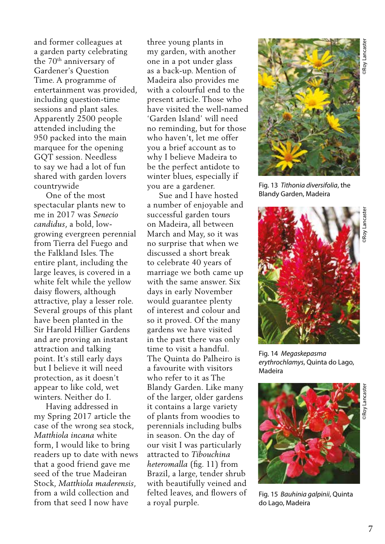and former colleagues at a garden party celebrating the 70th anniversary of Gardener's Question Time. A programme of entertainment was provided, including question-time sessions and plant sales. Apparently 2500 people attended including the 950 packed into the main marquee for the opening GQT session. Needless to say we had a lot of fun shared with garden lovers countrywide

 One of the most spectacular plants new to me in 2017 was *Senecio candidus*, a bold, lowgrowing evergreen perennial from Tierra del Fuego and the Falkland Isles. The entire plant, including the large leaves, is covered in a white felt while the yellow daisy flowers, although attractive, play a lesser role. Several groups of this plant have been planted in the Sir Harold Hillier Gardens and are proving an instant attraction and talking point. It's still early days but I believe it will need protection, as it doesn't appear to like cold, wet winters. Neither do I.

 Having addressed in my Spring 2017 article the case of the wrong sea stock, *Matthiola incana* white form, I would like to bring readers up to date with news that a good friend gave me seed of the true Madeiran Stock, *Matthiola maderensis*, from a wild collection and from that seed I now have

three young plants in my garden, with another one in a pot under glass as a back-up. Mention of Madeira also provides me with a colourful end to the present article. Those who have visited the well-named 'Garden Island' will need no reminding, but for those who haven't, let me offer you a brief account as to why I believe Madeira to be the perfect antidote to winter blues, especially if you are a gardener.

 Sue and I have hosted a number of enjoyable and successful garden tours on Madeira, all between March and May, so it was no surprise that when we discussed a short break to celebrate 40 years of marriage we both came up with the same answer. Six days in early November would guarantee plenty of interest and colour and so it proved. Of the many gardens we have visited in the past there was only time to visit a handful. The Quinta do Palheiro is a favourite with visitors who refer to it as The Blandy Garden. Like many of the larger, older gardens it contains a large variety of plants from woodies to perennials including bulbs in season. On the day of our visit I was particularly attracted to *Tibouchina heteromalla* (fig. 11) from Brazil, a large, tender shrub with beautifully veined and felted leaves, and flowers of a royal purple.



Fig. 13 *Tithonia diversifolia*, the Blandy Garden, Madeira



Fig. 14 *Megaskepasma erythrochlamys*, Quinta do Lago, Madeira



Fig. 15 *Bauhinia galpinii*, Quinta do Lago, Madeira